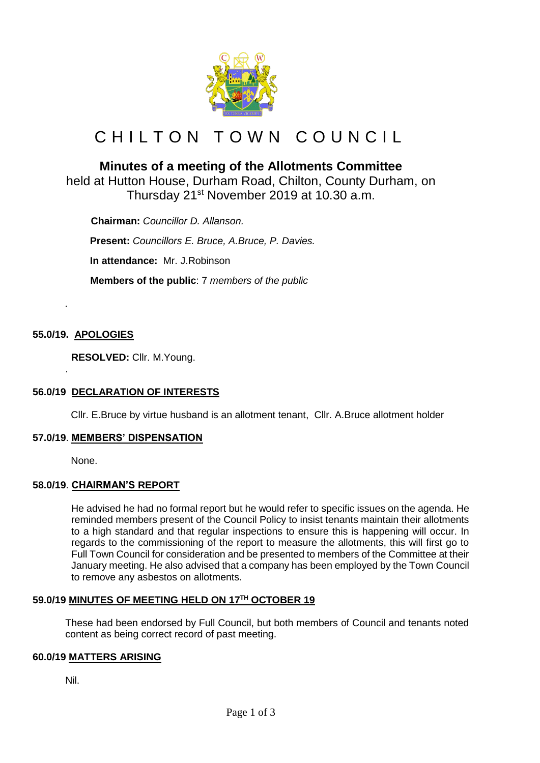

# C H I L T O N T O W N C O U N C I L

# **Minutes of a meeting of the Allotments Committee**

held at Hutton House, Durham Road, Chilton, County Durham, on Thursday 21st November 2019 at 10.30 a.m.

 **Chairman:** *Councillor D. Allanson.* **Present:** *Councillors E. Bruce, A.Bruce, P. Davies.*

**In attendance:** Mr. J.Robinson

 **Members of the public**: 7 *members of the public*

# **55.0/19. APOLOGIES**

*.*

.

**RESOLVED:** Cllr. M.Young.

# **56.0/19 DECLARATION OF INTERESTS**

Cllr. E.Bruce by virtue husband is an allotment tenant, Cllr. A.Bruce allotment holder

#### **57.0/19**. **MEMBERS' DISPENSATION**

None.

# **58.0/19**. **CHAIRMAN'S REPORT**

He advised he had no formal report but he would refer to specific issues on the agenda. He reminded members present of the Council Policy to insist tenants maintain their allotments to a high standard and that regular inspections to ensure this is happening will occur. In regards to the commissioning of the report to measure the allotments, this will first go to Full Town Council for consideration and be presented to members of the Committee at their January meeting. He also advised that a company has been employed by the Town Council to remove any asbestos on allotments.

# **59.0/19 MINUTES OF MEETING HELD ON 17TH OCTOBER 19**

These had been endorsed by Full Council, but both members of Council and tenants noted content as being correct record of past meeting.

#### **60.0/19 MATTERS ARISING**

Nil.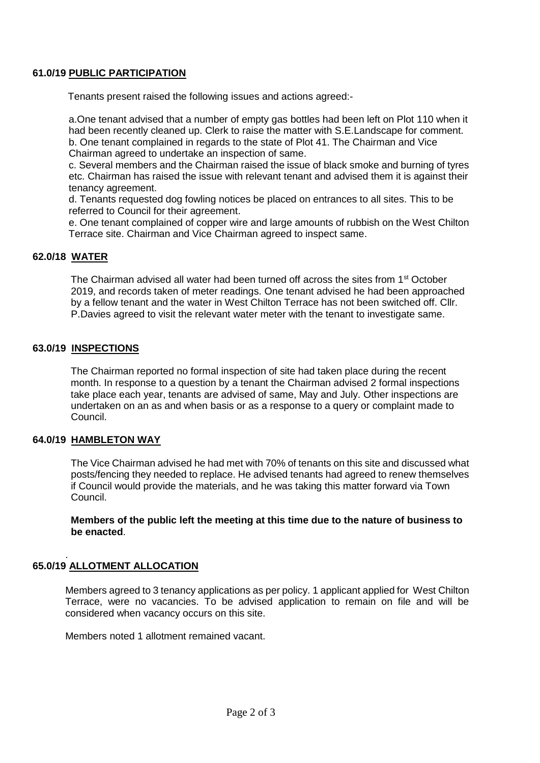#### **61.0/19 PUBLIC PARTICIPATION**

Tenants present raised the following issues and actions agreed:-

a.One tenant advised that a number of empty gas bottles had been left on Plot 110 when it had been recently cleaned up. Clerk to raise the matter with S.E.Landscape for comment. b. One tenant complained in regards to the state of Plot 41. The Chairman and Vice Chairman agreed to undertake an inspection of same.

c. Several members and the Chairman raised the issue of black smoke and burning of tyres etc. Chairman has raised the issue with relevant tenant and advised them it is against their tenancy agreement.

d. Tenants requested dog fowling notices be placed on entrances to all sites. This to be referred to Council for their agreement.

e. One tenant complained of copper wire and large amounts of rubbish on the West Chilton Terrace site. Chairman and Vice Chairman agreed to inspect same.

#### **62.0/18 WATER**

The Chairman advised all water had been turned off across the sites from 1<sup>st</sup> October 2019, and records taken of meter readings. One tenant advised he had been approached by a fellow tenant and the water in West Chilton Terrace has not been switched off. Cllr. P.Davies agreed to visit the relevant water meter with the tenant to investigate same.

#### **63.0/19 INSPECTIONS**

 The Chairman reported no formal inspection of site had taken place during the recent month. In response to a question by a tenant the Chairman advised 2 formal inspections take place each year, tenants are advised of same, May and July. Other inspections are undertaken on an as and when basis or as a response to a query or complaint made to Council.

#### **64.0/19 HAMBLETON WAY**

 The Vice Chairman advised he had met with 70% of tenants on this site and discussed what posts/fencing they needed to replace. He advised tenants had agreed to renew themselves if Council would provide the materials, and he was taking this matter forward via Town Council.

 **Members of the public left the meeting at this time due to the nature of business to be enacted**.

#### . **65.0/19 ALLOTMENT ALLOCATION**

Members agreed to 3 tenancy applications as per policy. 1 applicant applied for West Chilton Terrace, were no vacancies. To be advised application to remain on file and will be considered when vacancy occurs on this site.

Members noted 1 allotment remained vacant.